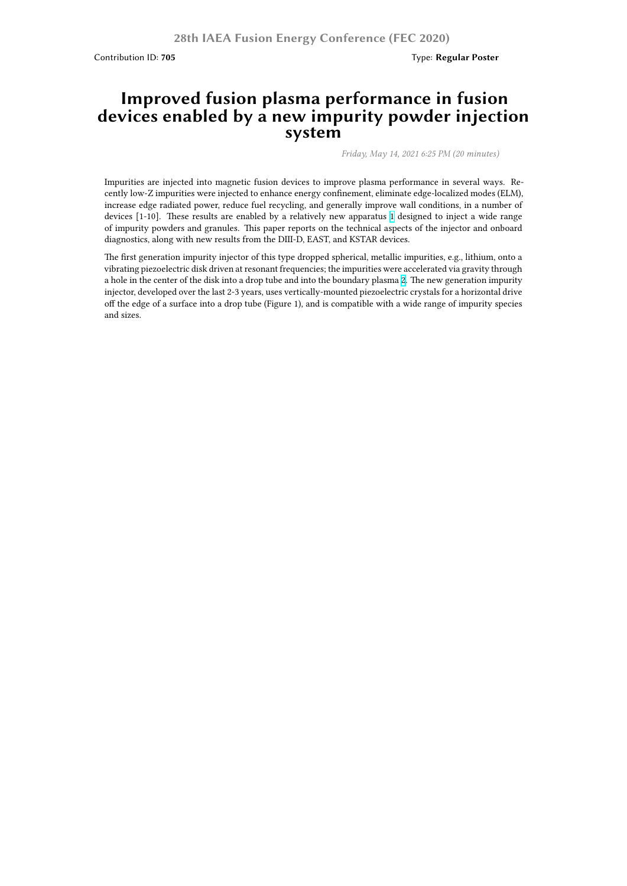## **Improved fusion plasma performance in fusion devices enabled by a new impurity powder injection system**

*Friday, May 14, 2021 6:25 PM (20 minutes)*

Impurities are injected into magnetic fusion devices to improve plasma performance in several ways. Recently low-Z impurities were injected to enhance energy confinement, eliminate edge-localized modes (ELM), increase edge radiated power, reduce fuel recycling, and generally improve wall conditions, in a number of devices [1-10]. These results are enabled by a relatively new apparatus 1 designed to inject a wide range of impurity powders and granules. This paper reports on the technical aspects of the injector and onboard diagnostics, along with new results from the DIII-D, EAST, and KSTAR devices.

The first generation impurity injector of this type dropped spherical, metallic impurities, e.g., lithium, onto a vibrating piezoelectric disk driven at resonant frequencies; the impurities [wer](https://nstx.pppl.gov/DragNDrop/Scientific_Conferences/IAEA/IAEA_2020/Synopses/Figures/Maingi_IAEAFEC20_F1.jpg)e accelerated via gravity through a hole in the center of the disk into a drop tube and into the boundary plasma 2. The new generation impurity injector, developed over the last 2-3 years, uses vertically-mounted piezoelectric crystals for a horizontal drive off the edge of a surface into a drop tube (Figure 1), and is compatible with a wide range of impurity species and sizes.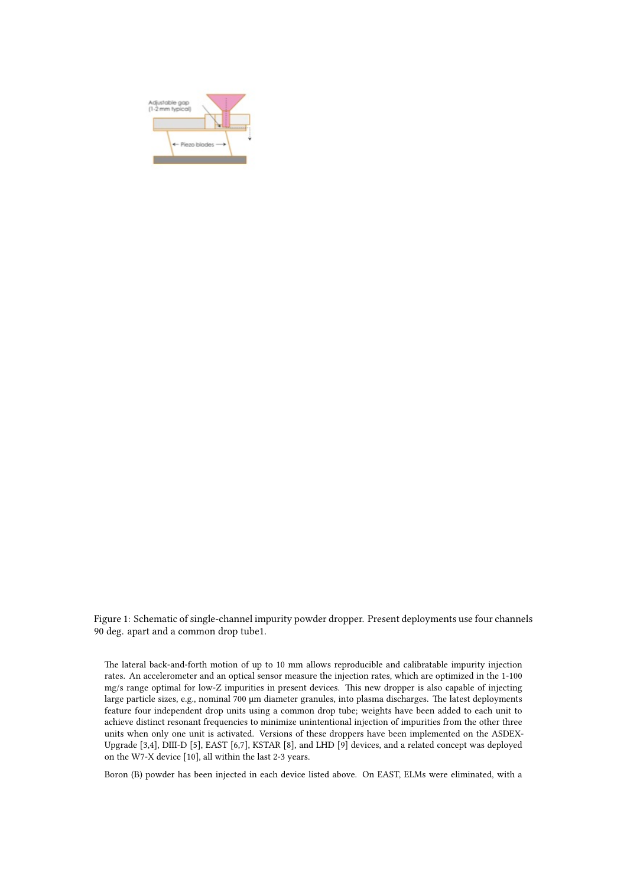

Figure 1: Schematic of single-channel impurity powder dropper. Present deployments use four channels 90 deg. apart and a common drop tube1.

The lateral back-and-forth motion of up to 10 mm allows reproducible and calibratable impurity injection rates. An accelerometer and an optical sensor measure the injection rates, which are optimized in the 1-100 mg/s range optimal for low-Z impurities in present devices. This new dropper is also capable of injecting large particle sizes, e.g., nominal 700 µm diameter granules, into plasma discharges. The latest deployments feature four independent drop units using a common drop tube; weights have been added to each unit to achieve distinct resonant frequencies to minimize unintentional injection of impurities from the other three units when only one unit is activated. Versions of these droppers have been implemented on the ASDEX-Upgrade [3,4], DIII-D [5], EAST [6,7], KSTAR [8], and LHD [9] devices, and a related concept was deployed on the W7-X device [10], all within the last 2-3 years.

Boron (B) powder has been injected in each device listed above. On EAST, ELMs were eliminated, with a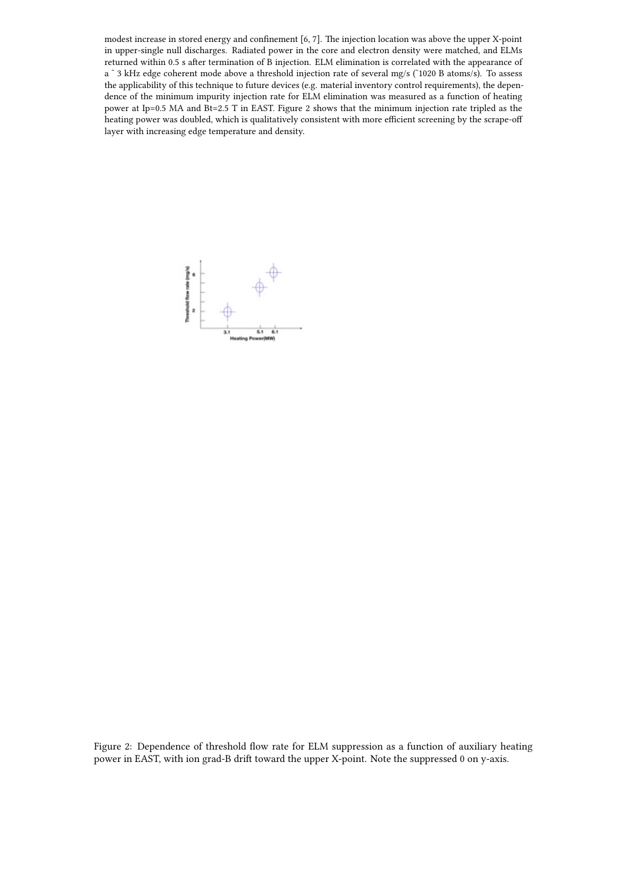modest increase in stored energy and confinement [6, 7]. The injection location was above the upper X-point in upper-single null discharges. Radiated power in the core and electron density were matched, and ELMs returned within 0.5 s after termination of B injection. ELM elimination is correlated with the appearance of a ~ 3 kHz edge coherent mode above a threshold injection rate of several mg/s (~1020 B atoms/s). To assess the applicability of this technique to future devices (e.g. material inventory control requirements), the dependence of the minimum impurity injection rate for ELM elimination was measured as a function of heating power at Ip=0.5 MA and Bt=2.5 T in EAST. Figure 2 shows that the minimum injection rate tripled as the heating power was doubled, which is qualitatively consistent with more efficient screening by the scrape-off layer with increasing edge temperature and density.



Figure 2: Dependence of threshold flow rate for ELM suppression as a function of auxiliary heating power in EAST, with ion grad-B drift toward the upper X-point. Note the suppressed 0 on y-axis.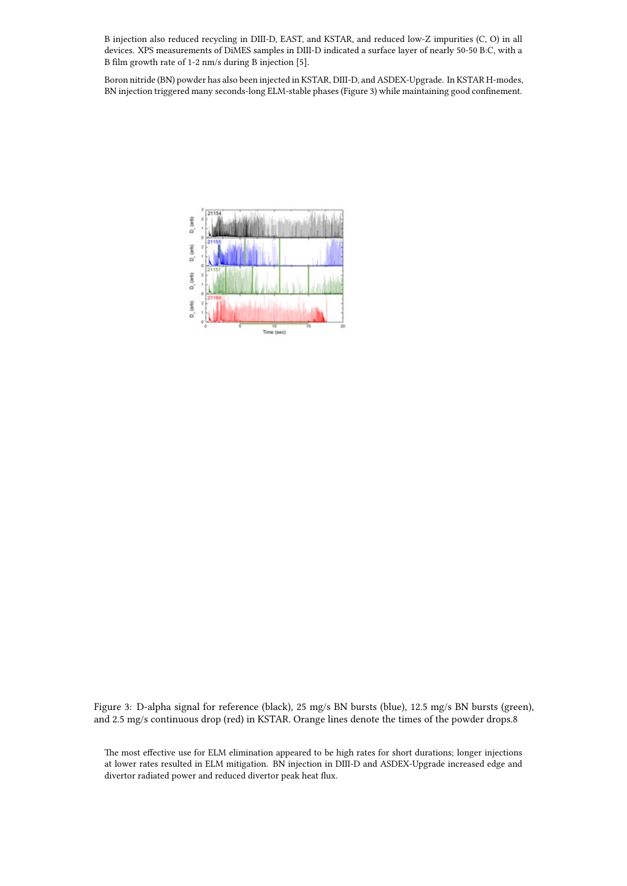B injection also reduced recycling in DIII-D, EAST, and KSTAR, and reduced low-Z impurities (C, O) in all devices. XPS measurements of DiMES samples in DIII-D indicated a surface layer of nearly 50-50 B:C, with a B film growth rate of 1-2 nm/s during B injection [5].

Boron nitride (BN) powder has also been injected in KSTAR, DIII-D, and ASDEX-Upgrade. In KSTAR H-modes, BN injection triggered many seconds-long ELM-stable phases (Figure 3) while maintaining good confinement.



Figure 3: D-alpha signal for reference (black), 25 mg/s BN bursts (blue), 12.5 mg/s BN bursts (green), and 2.5 mg/s continuous drop (red) in KSTAR. Orange lines denote the times of the powder drops.8

The most effective use for ELM elimination appeared to be high rates for short durations; longer injections at lower rates resulted in ELM mitigation. BN injection in DIII-D and ASDEX-Upgrade increased edge and divertor radiated power and reduced divertor peak heat flux.